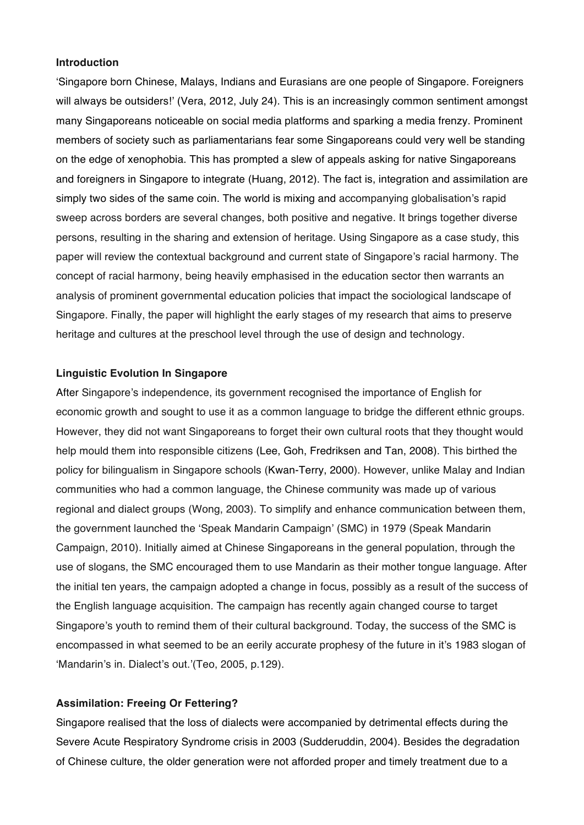## **Introduction**

'Singapore born Chinese, Malays, Indians and Eurasians are one people of Singapore. Foreigners will always be outsiders!' (Vera, 2012, July 24). This is an increasingly common sentiment amongst many Singaporeans noticeable on social media platforms and sparking a media frenzy. Prominent members of society such as parliamentarians fear some Singaporeans could very well be standing on the edge of xenophobia. This has prompted a slew of appeals asking for native Singaporeans and foreigners in Singapore to integrate (Huang, 2012). The fact is, integration and assimilation are simply two sides of the same coin. The world is mixing and accompanying globalisation's rapid sweep across borders are several changes, both positive and negative. It brings together diverse persons, resulting in the sharing and extension of heritage. Using Singapore as a case study, this paper will review the contextual background and current state of Singapore's racial harmony. The concept of racial harmony, being heavily emphasised in the education sector then warrants an analysis of prominent governmental education policies that impact the sociological landscape of Singapore. Finally, the paper will highlight the early stages of my research that aims to preserve heritage and cultures at the preschool level through the use of design and technology.

## **Linguistic Evolution In Singapore**

After Singapore's independence, its government recognised the importance of English for economic growth and sought to use it as a common language to bridge the different ethnic groups. However, they did not want Singaporeans to forget their own cultural roots that they thought would help mould them into responsible citizens (Lee, Goh, Fredriksen and Tan, 2008). This birthed the policy for bilingualism in Singapore schools (Kwan-Terry, 2000). However, unlike Malay and Indian communities who had a common language, the Chinese community was made up of various regional and dialect groups (Wong, 2003). To simplify and enhance communication between them, the government launched the 'Speak Mandarin Campaign' (SMC) in 1979 (Speak Mandarin Campaign, 2010). Initially aimed at Chinese Singaporeans in the general population, through the use of slogans, the SMC encouraged them to use Mandarin as their mother tongue language. After the initial ten years, the campaign adopted a change in focus, possibly as a result of the success of the English language acquisition. The campaign has recently again changed course to target Singapore's youth to remind them of their cultural background. Today, the success of the SMC is encompassed in what seemed to be an eerily accurate prophesy of the future in it's 1983 slogan of 'Mandarin's in. Dialect's out.'(Teo, 2005, p.129).

## **Assimilation: Freeing Or Fettering?**

Singapore realised that the loss of dialects were accompanied by detrimental effects during the Severe Acute Respiratory Syndrome crisis in 2003 (Sudderuddin, 2004). Besides the degradation of Chinese culture, the older generation were not afforded proper and timely treatment due to a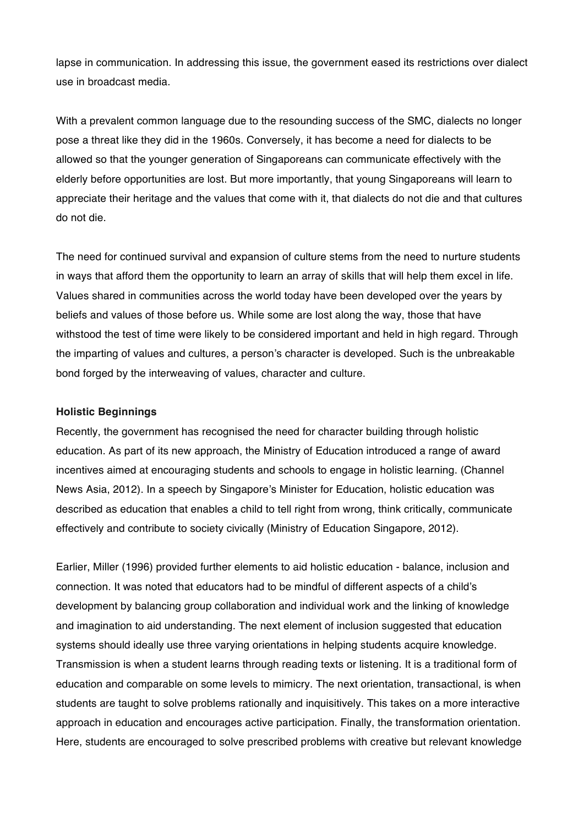lapse in communication. In addressing this issue, the government eased its restrictions over dialect use in broadcast media.

With a prevalent common language due to the resounding success of the SMC, dialects no longer pose a threat like they did in the 1960s. Conversely, it has become a need for dialects to be allowed so that the younger generation of Singaporeans can communicate effectively with the elderly before opportunities are lost. But more importantly, that young Singaporeans will learn to appreciate their heritage and the values that come with it, that dialects do not die and that cultures do not die.

The need for continued survival and expansion of culture stems from the need to nurture students in ways that afford them the opportunity to learn an array of skills that will help them excel in life. Values shared in communities across the world today have been developed over the years by beliefs and values of those before us. While some are lost along the way, those that have withstood the test of time were likely to be considered important and held in high regard. Through the imparting of values and cultures, a person's character is developed. Such is the unbreakable bond forged by the interweaving of values, character and culture.

#### **Holistic Beginnings**

Recently, the government has recognised the need for character building through holistic education. As part of its new approach, the Ministry of Education introduced a range of award incentives aimed at encouraging students and schools to engage in holistic learning. (Channel News Asia, 2012). In a speech by Singapore's Minister for Education, holistic education was described as education that enables a child to tell right from wrong, think critically, communicate effectively and contribute to society civically (Ministry of Education Singapore, 2012).

Earlier, Miller (1996) provided further elements to aid holistic education - balance, inclusion and connection. It was noted that educators had to be mindful of different aspects of a child's development by balancing group collaboration and individual work and the linking of knowledge and imagination to aid understanding. The next element of inclusion suggested that education systems should ideally use three varying orientations in helping students acquire knowledge. Transmission is when a student learns through reading texts or listening. It is a traditional form of education and comparable on some levels to mimicry. The next orientation, transactional, is when students are taught to solve problems rationally and inquisitively. This takes on a more interactive approach in education and encourages active participation. Finally, the transformation orientation. Here, students are encouraged to solve prescribed problems with creative but relevant knowledge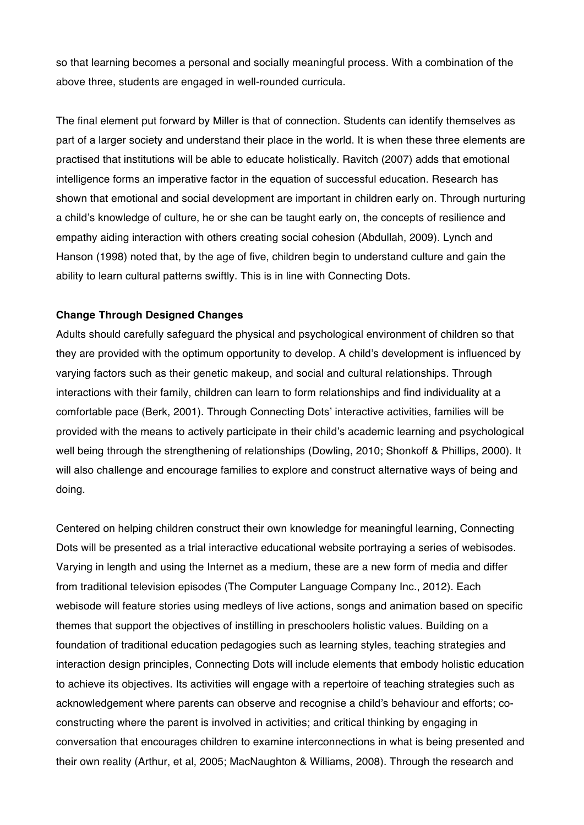so that learning becomes a personal and socially meaningful process. With a combination of the above three, students are engaged in well-rounded curricula.

The final element put forward by Miller is that of connection. Students can identify themselves as part of a larger society and understand their place in the world. It is when these three elements are practised that institutions will be able to educate holistically. Ravitch (2007) adds that emotional intelligence forms an imperative factor in the equation of successful education. Research has shown that emotional and social development are important in children early on. Through nurturing a child's knowledge of culture, he or she can be taught early on, the concepts of resilience and empathy aiding interaction with others creating social cohesion (Abdullah, 2009). Lynch and Hanson (1998) noted that, by the age of five, children begin to understand culture and gain the ability to learn cultural patterns swiftly. This is in line with Connecting Dots.

## **Change Through Designed Changes**

Adults should carefully safeguard the physical and psychological environment of children so that they are provided with the optimum opportunity to develop. A child's development is influenced by varying factors such as their genetic makeup, and social and cultural relationships. Through interactions with their family, children can learn to form relationships and find individuality at a comfortable pace (Berk, 2001). Through Connecting Dots' interactive activities, families will be provided with the means to actively participate in their child's academic learning and psychological well being through the strengthening of relationships (Dowling, 2010; Shonkoff & Phillips, 2000). It will also challenge and encourage families to explore and construct alternative ways of being and doing.

Centered on helping children construct their own knowledge for meaningful learning, Connecting Dots will be presented as a trial interactive educational website portraying a series of webisodes. Varying in length and using the Internet as a medium, these are a new form of media and differ from traditional television episodes (The Computer Language Company Inc., 2012). Each webisode will feature stories using medleys of live actions, songs and animation based on specific themes that support the objectives of instilling in preschoolers holistic values. Building on a foundation of traditional education pedagogies such as learning styles, teaching strategies and interaction design principles, Connecting Dots will include elements that embody holistic education to achieve its objectives. Its activities will engage with a repertoire of teaching strategies such as acknowledgement where parents can observe and recognise a child's behaviour and efforts; coconstructing where the parent is involved in activities; and critical thinking by engaging in conversation that encourages children to examine interconnections in what is being presented and their own reality (Arthur, et al, 2005; MacNaughton & Williams, 2008). Through the research and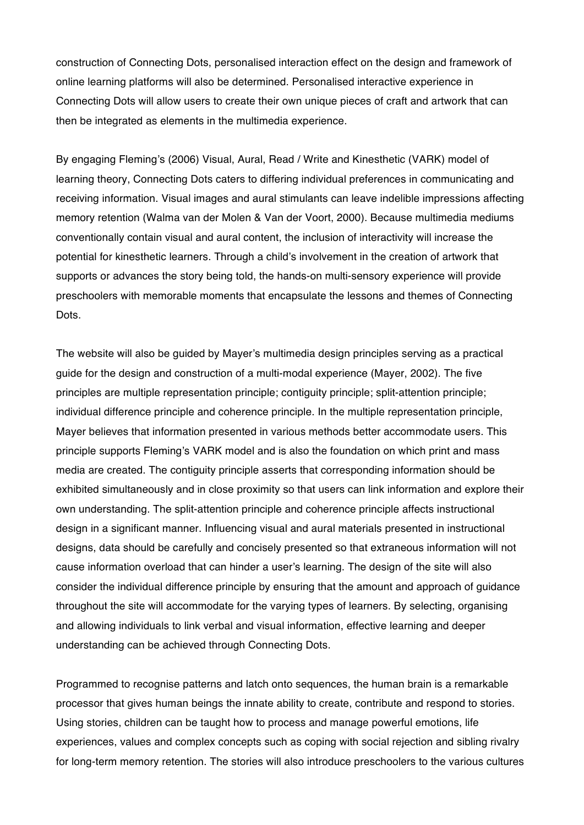construction of Connecting Dots, personalised interaction effect on the design and framework of online learning platforms will also be determined. Personalised interactive experience in Connecting Dots will allow users to create their own unique pieces of craft and artwork that can then be integrated as elements in the multimedia experience.

By engaging Fleming's (2006) Visual, Aural, Read / Write and Kinesthetic (VARK) model of learning theory, Connecting Dots caters to differing individual preferences in communicating and receiving information. Visual images and aural stimulants can leave indelible impressions affecting memory retention (Walma van der Molen & Van der Voort, 2000). Because multimedia mediums conventionally contain visual and aural content, the inclusion of interactivity will increase the potential for kinesthetic learners. Through a child's involvement in the creation of artwork that supports or advances the story being told, the hands-on multi-sensory experience will provide preschoolers with memorable moments that encapsulate the lessons and themes of Connecting Dots.

The website will also be guided by Mayer's multimedia design principles serving as a practical guide for the design and construction of a multi-modal experience (Mayer, 2002). The five principles are multiple representation principle; contiguity principle; split-attention principle; individual difference principle and coherence principle. In the multiple representation principle, Mayer believes that information presented in various methods better accommodate users. This principle supports Fleming's VARK model and is also the foundation on which print and mass media are created. The contiguity principle asserts that corresponding information should be exhibited simultaneously and in close proximity so that users can link information and explore their own understanding. The split-attention principle and coherence principle affects instructional design in a significant manner. Influencing visual and aural materials presented in instructional designs, data should be carefully and concisely presented so that extraneous information will not cause information overload that can hinder a user's learning. The design of the site will also consider the individual difference principle by ensuring that the amount and approach of guidance throughout the site will accommodate for the varying types of learners. By selecting, organising and allowing individuals to link verbal and visual information, effective learning and deeper understanding can be achieved through Connecting Dots.

Programmed to recognise patterns and latch onto sequences, the human brain is a remarkable processor that gives human beings the innate ability to create, contribute and respond to stories. Using stories, children can be taught how to process and manage powerful emotions, life experiences, values and complex concepts such as coping with social rejection and sibling rivalry for long-term memory retention. The stories will also introduce preschoolers to the various cultures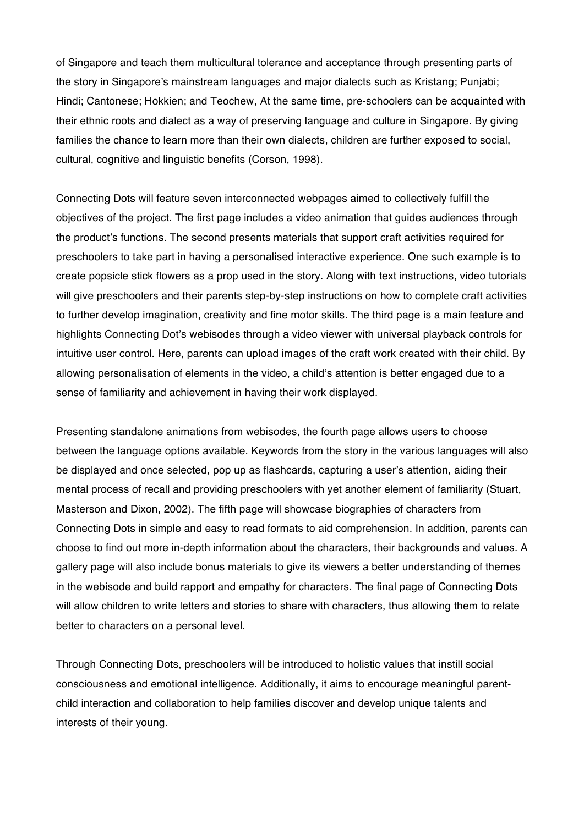of Singapore and teach them multicultural tolerance and acceptance through presenting parts of the story in Singapore's mainstream languages and major dialects such as Kristang; Punjabi; Hindi; Cantonese; Hokkien; and Teochew, At the same time, pre-schoolers can be acquainted with their ethnic roots and dialect as a way of preserving language and culture in Singapore. By giving families the chance to learn more than their own dialects, children are further exposed to social, cultural, cognitive and linguistic benefits (Corson, 1998).

Connecting Dots will feature seven interconnected webpages aimed to collectively fulfill the objectives of the project. The first page includes a video animation that guides audiences through the product's functions. The second presents materials that support craft activities required for preschoolers to take part in having a personalised interactive experience. One such example is to create popsicle stick flowers as a prop used in the story. Along with text instructions, video tutorials will give preschoolers and their parents step-by-step instructions on how to complete craft activities to further develop imagination, creativity and fine motor skills. The third page is a main feature and highlights Connecting Dot's webisodes through a video viewer with universal playback controls for intuitive user control. Here, parents can upload images of the craft work created with their child. By allowing personalisation of elements in the video, a child's attention is better engaged due to a sense of familiarity and achievement in having their work displayed.

Presenting standalone animations from webisodes, the fourth page allows users to choose between the language options available. Keywords from the story in the various languages will also be displayed and once selected, pop up as flashcards, capturing a user's attention, aiding their mental process of recall and providing preschoolers with yet another element of familiarity (Stuart, Masterson and Dixon, 2002). The fifth page will showcase biographies of characters from Connecting Dots in simple and easy to read formats to aid comprehension. In addition, parents can choose to find out more in-depth information about the characters, their backgrounds and values. A gallery page will also include bonus materials to give its viewers a better understanding of themes in the webisode and build rapport and empathy for characters. The final page of Connecting Dots will allow children to write letters and stories to share with characters, thus allowing them to relate better to characters on a personal level.

Through Connecting Dots, preschoolers will be introduced to holistic values that instill social consciousness and emotional intelligence. Additionally, it aims to encourage meaningful parentchild interaction and collaboration to help families discover and develop unique talents and interests of their young.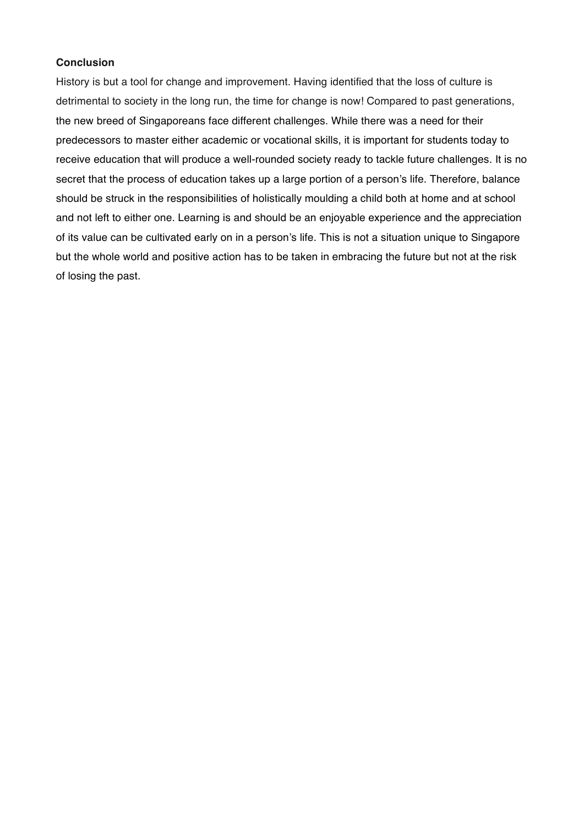# **Conclusion**

History is but a tool for change and improvement. Having identified that the loss of culture is detrimental to society in the long run, the time for change is now! Compared to past generations, the new breed of Singaporeans face different challenges. While there was a need for their predecessors to master either academic or vocational skills, it is important for students today to receive education that will produce a well-rounded society ready to tackle future challenges. It is no secret that the process of education takes up a large portion of a person's life. Therefore, balance should be struck in the responsibilities of holistically moulding a child both at home and at school and not left to either one. Learning is and should be an enjoyable experience and the appreciation of its value can be cultivated early on in a person's life. This is not a situation unique to Singapore but the whole world and positive action has to be taken in embracing the future but not at the risk of losing the past.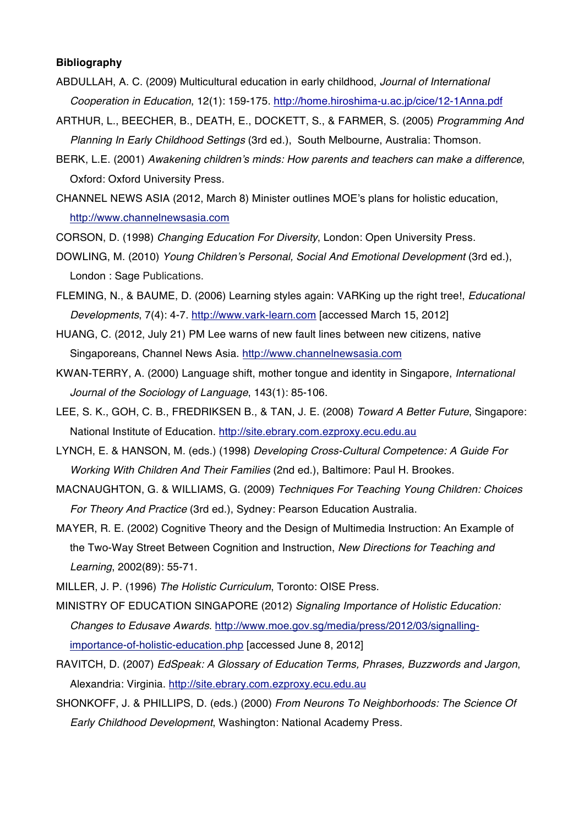## **Bibliography**

- ABDULLAH, A. C. (2009) Multicultural education in early childhood, *Journal of International Cooperation in Education*, 12(1): 159-175. http://home.hiroshima-u.ac.jp/cice/12-1Anna.pdf
- ARTHUR, L., BEECHER, B., DEATH, E., DOCKETT, S., & FARMER, S. (2005) *Programming And Planning In Early Childhood Settings* (3rd ed.), South Melbourne, Australia: Thomson.
- BERK, L.E. (2001) *Awakening children's minds: How parents and teachers can make a difference*, Oxford: Oxford University Press.
- CHANNEL NEWS ASIA (2012, March 8) Minister outlines MOE's plans for holistic education, http://www.channelnewsasia.com
- CORSON, D. (1998) *Changing Education For Diversity*, London: Open University Press.
- DOWLING, M. (2010) *Young Children's Personal, Social And Emotional Development* (3rd ed.), London : Sage Publications.
- FLEMING, N., & BAUME, D. (2006) Learning styles again: VARKing up the right tree!, *Educational Developments*, 7(4): 4-7. http://www.vark-learn.com [accessed March 15, 2012]
- HUANG, C. (2012, July 21) PM Lee warns of new fault lines between new citizens, native Singaporeans, Channel News Asia. http://www.channelnewsasia.com
- KWAN-TERRY, A. (2000) Language shift, mother tongue and identity in Singapore, *International Journal of the Sociology of Language*, 143(1): 85-106.
- LEE, S. K., GOH, C. B., FREDRIKSEN B., & TAN, J. E. (2008) *Toward A Better Future*, Singapore: National Institute of Education. http://site.ebrary.com.ezproxy.ecu.edu.au
- LYNCH, E. & HANSON, M. (eds.) (1998) *Developing Cross-Cultural Competence: A Guide For Working With Children And Their Families* (2nd ed.), Baltimore: Paul H. Brookes.
- MACNAUGHTON, G. & WILLIAMS, G. (2009) *Techniques For Teaching Young Children: Choices For Theory And Practice* (3rd ed.), Sydney: Pearson Education Australia.
- MAYER, R. E. (2002) Cognitive Theory and the Design of Multimedia Instruction: An Example of the Two-Way Street Between Cognition and Instruction, *New Directions for Teaching and Learning*, 2002(89): 55-71.
- MILLER, J. P. (1996) *The Holistic Curriculum*, Toronto: OISE Press.
- MINISTRY OF EDUCATION SINGAPORE (2012) *Signaling Importance of Holistic Education: Changes to Edusave Awards*. http://www.moe.gov.sg/media/press/2012/03/signallingimportance-of-holistic-education.php [accessed June 8, 2012]
- RAVITCH, D. (2007) *EdSpeak: A Glossary of Education Terms, Phrases, Buzzwords and Jargon*, Alexandria: Virginia. http://site.ebrary.com.ezproxy.ecu.edu.au
- SHONKOFF, J. & PHILLIPS, D. (eds.) (2000) *From Neurons To Neighborhoods: The Science Of Early Childhood Development*, Washington: National Academy Press.